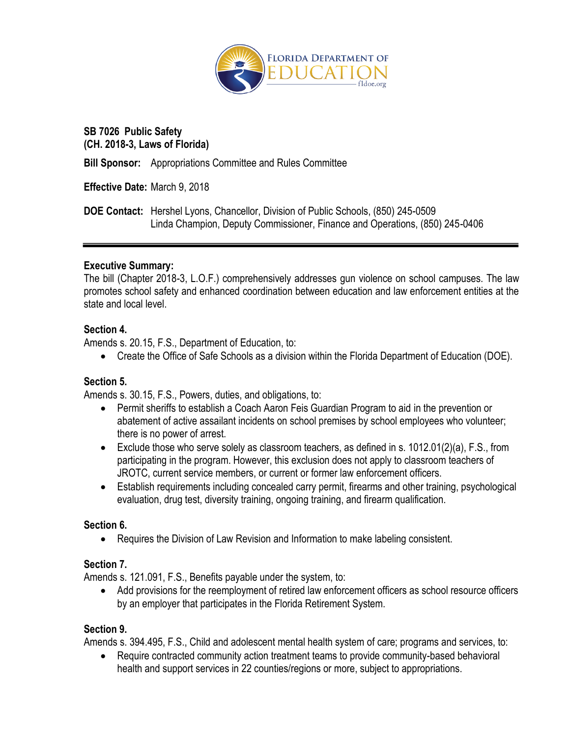

### **SB 7026 Public Safety (CH. 2018-3, Laws of Florida)**

**Bill Sponsor:** Appropriations Committee and Rules Committee

**Effective Date:** March 9, 2018

**DOE Contact:** Hershel Lyons, Chancellor, Division of Public Schools, (850) 245-0509 Linda Champion, Deputy Commissioner, Finance and Operations, (850) 245-0406

### **Executive Summary:**

The bill (Chapter 2018-3, L.O.F.) comprehensively addresses gun violence on school campuses. The law promotes school safety and enhanced coordination between education and law enforcement entities at the state and local level.

### **Section 4.**

Amends s. 20.15, F.S., Department of Education, to:

Create the Office of Safe Schools as a division within the Florida Department of Education (DOE).

## **Section 5.**

Amends s. 30.15, F.S., Powers, duties, and obligations, to:

- Permit sheriffs to establish a Coach Aaron Feis Guardian Program to aid in the prevention or abatement of active assailant incidents on school premises by school employees who volunteer; there is no power of arrest.
- Exclude those who serve solely as classroom teachers, as defined in s.  $1012.01(2)(a)$ , F.S., from participating in the program. However, this exclusion does not apply to classroom teachers of JROTC, current service members, or current or former law enforcement officers.
- Establish requirements including concealed carry permit, firearms and other training, psychological evaluation, drug test, diversity training, ongoing training, and firearm qualification.

### **Section 6.**

Requires the Division of Law Revision and Information to make labeling consistent.

## **Section 7.**

Amends s. 121.091, F.S., Benefits payable under the system, to:

 Add provisions for the reemployment of retired law enforcement officers as school resource officers by an employer that participates in the Florida Retirement System.

### **Section 9.**

Amends s. 394.495, F.S., Child and adolescent mental health system of care; programs and services, to:

 Require contracted community action treatment teams to provide community-based behavioral health and support services in 22 counties/regions or more, subject to appropriations.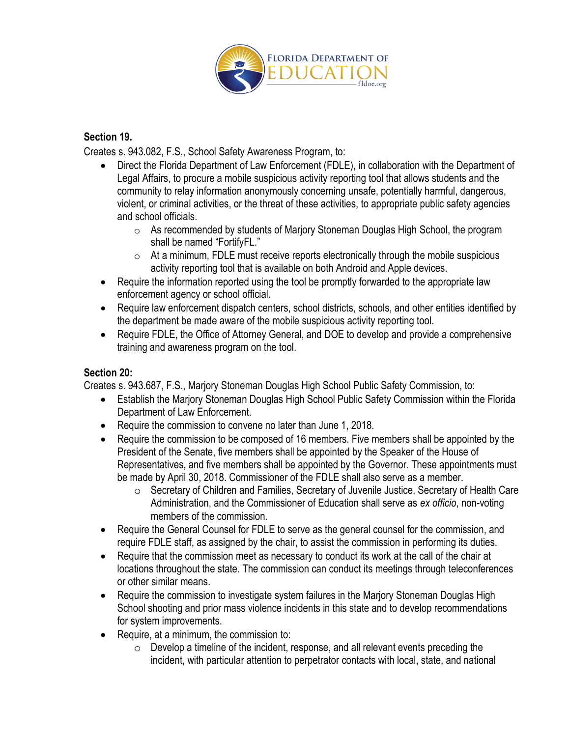

### **Section 19.**

Creates s. 943.082, F.S., School Safety Awareness Program, to:

- Direct the Florida Department of Law Enforcement (FDLE), in collaboration with the Department of Legal Affairs, to procure a mobile suspicious activity reporting tool that allows students and the community to relay information anonymously concerning unsafe, potentially harmful, dangerous, violent, or criminal activities, or the threat of these activities, to appropriate public safety agencies and school officials.
	- o As recommended by students of Marjory Stoneman Douglas High School, the program shall be named "FortifyFL."
	- $\circ$  At a minimum, FDLE must receive reports electronically through the mobile suspicious activity reporting tool that is available on both Android and Apple devices.
- Require the information reported using the tool be promptly forwarded to the appropriate law enforcement agency or school official.
- Require law enforcement dispatch centers, school districts, schools, and other entities identified by the department be made aware of the mobile suspicious activity reporting tool.
- Require FDLE, the Office of Attorney General, and DOE to develop and provide a comprehensive training and awareness program on the tool.

### **Section 20:**

Creates s. 943.687, F.S., Marjory Stoneman Douglas High School Public Safety Commission, to:

- Establish the Marjory Stoneman Douglas High School Public Safety Commission within the Florida Department of Law Enforcement.
- Require the commission to convene no later than June 1, 2018.
- Require the commission to be composed of 16 members. Five members shall be appointed by the President of the Senate, five members shall be appointed by the Speaker of the House of Representatives, and five members shall be appointed by the Governor. These appointments must be made by April 30, 2018. Commissioner of the FDLE shall also serve as a member.
	- $\circ$  Secretary of Children and Families, Secretary of Juvenile Justice, Secretary of Health Care Administration, and the Commissioner of Education shall serve as *ex officio*, non-voting members of the commission.
- Require the General Counsel for FDLE to serve as the general counsel for the commission, and require FDLE staff, as assigned by the chair, to assist the commission in performing its duties.
- Require that the commission meet as necessary to conduct its work at the call of the chair at locations throughout the state. The commission can conduct its meetings through teleconferences or other similar means.
- Require the commission to investigate system failures in the Marjory Stoneman Douglas High School shooting and prior mass violence incidents in this state and to develop recommendations for system improvements.
- Require, at a minimum, the commission to:
	- $\circ$  Develop a timeline of the incident, response, and all relevant events preceding the incident, with particular attention to perpetrator contacts with local, state, and national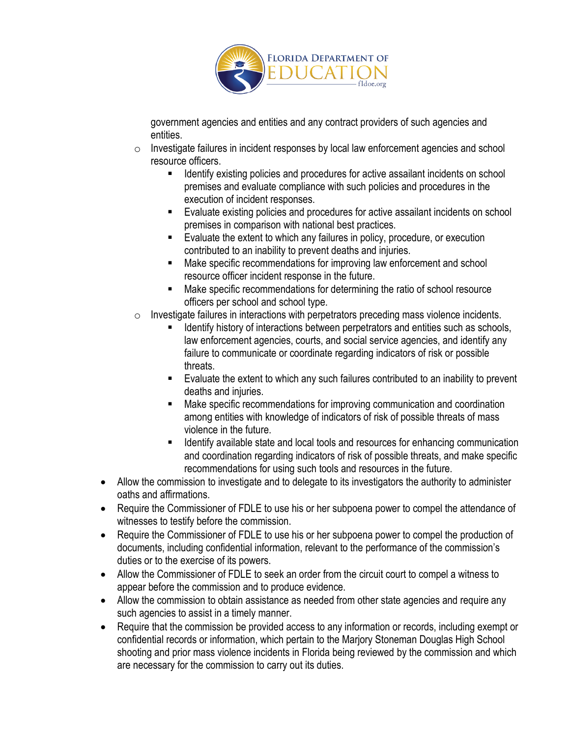

government agencies and entities and any contract providers of such agencies and entities.

- o Investigate failures in incident responses by local law enforcement agencies and school resource officers.
	- Identify existing policies and procedures for active assailant incidents on school premises and evaluate compliance with such policies and procedures in the execution of incident responses.
	- Evaluate existing policies and procedures for active assailant incidents on school premises in comparison with national best practices.
	- Evaluate the extent to which any failures in policy, procedure, or execution contributed to an inability to prevent deaths and injuries.
	- Make specific recommendations for improving law enforcement and school resource officer incident response in the future.
	- **Make specific recommendations for determining the ratio of school resource** officers per school and school type.
- $\circ$  Investigate failures in interactions with perpetrators preceding mass violence incidents.
	- Identify history of interactions between perpetrators and entities such as schools, law enforcement agencies, courts, and social service agencies, and identify any failure to communicate or coordinate regarding indicators of risk or possible threats.
	- **Evaluate the extent to which any such failures contributed to an inability to prevent** deaths and injuries.
	- Make specific recommendations for improving communication and coordination among entities with knowledge of indicators of risk of possible threats of mass violence in the future.
	- Identify available state and local tools and resources for enhancing communication and coordination regarding indicators of risk of possible threats, and make specific recommendations for using such tools and resources in the future.
- Allow the commission to investigate and to delegate to its investigators the authority to administer oaths and affirmations.
- Require the Commissioner of FDLE to use his or her subpoena power to compel the attendance of witnesses to testify before the commission.
- Require the Commissioner of FDLE to use his or her subpoena power to compel the production of documents, including confidential information, relevant to the performance of the commission's duties or to the exercise of its powers.
- Allow the Commissioner of FDLE to seek an order from the circuit court to compel a witness to appear before the commission and to produce evidence.
- Allow the commission to obtain assistance as needed from other state agencies and require any such agencies to assist in a timely manner.
- Require that the commission be provided access to any information or records, including exempt or confidential records or information, which pertain to the Marjory Stoneman Douglas High School shooting and prior mass violence incidents in Florida being reviewed by the commission and which are necessary for the commission to carry out its duties.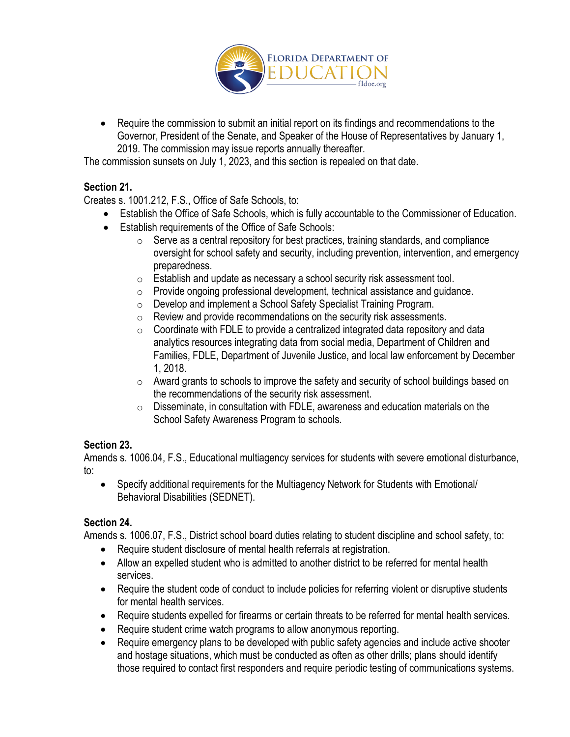

• Require the commission to submit an initial report on its findings and recommendations to the Governor, President of the Senate, and Speaker of the House of Representatives by January 1, 2019. The commission may issue reports annually thereafter.

The commission sunsets on July 1, 2023, and this section is repealed on that date.

# **Section 21.**

Creates s. 1001.212, F.S., Office of Safe Schools, to:

- Establish the Office of Safe Schools, which is fully accountable to the Commissioner of Education.
- Establish requirements of the Office of Safe Schools:
	- $\circ$  Serve as a central repository for best practices, training standards, and compliance oversight for school safety and security, including prevention, intervention, and emergency preparedness.
	- $\circ$  Establish and update as necessary a school security risk assessment tool.
	- o Provide ongoing professional development, technical assistance and guidance.
	- o Develop and implement a School Safety Specialist Training Program.
	- $\circ$  Review and provide recommendations on the security risk assessments.
	- $\circ$  Coordinate with FDLE to provide a centralized integrated data repository and data analytics resources integrating data from social media, Department of Children and Families, FDLE, Department of Juvenile Justice, and local law enforcement by December 1, 2018.
	- $\circ$  Award grants to schools to improve the safety and security of school buildings based on the recommendations of the security risk assessment.
	- $\circ$  Disseminate, in consultation with FDLE, awareness and education materials on the School Safety Awareness Program to schools.

## **Section 23.**

Amends s. 1006.04, F.S., Educational multiagency services for students with severe emotional disturbance, to:

 Specify additional requirements for the Multiagency Network for Students with Emotional/ Behavioral Disabilities (SEDNET).

## **Section 24.**

Amends s. 1006.07, F.S., District school board duties relating to student discipline and school safety, to:

- Require student disclosure of mental health referrals at registration.
- Allow an expelled student who is admitted to another district to be referred for mental health services.
- Require the student code of conduct to include policies for referring violent or disruptive students for mental health services.
- Require students expelled for firearms or certain threats to be referred for mental health services.
- Require student crime watch programs to allow anonymous reporting.
- Require emergency plans to be developed with public safety agencies and include active shooter and hostage situations, which must be conducted as often as other drills; plans should identify those required to contact first responders and require periodic testing of communications systems.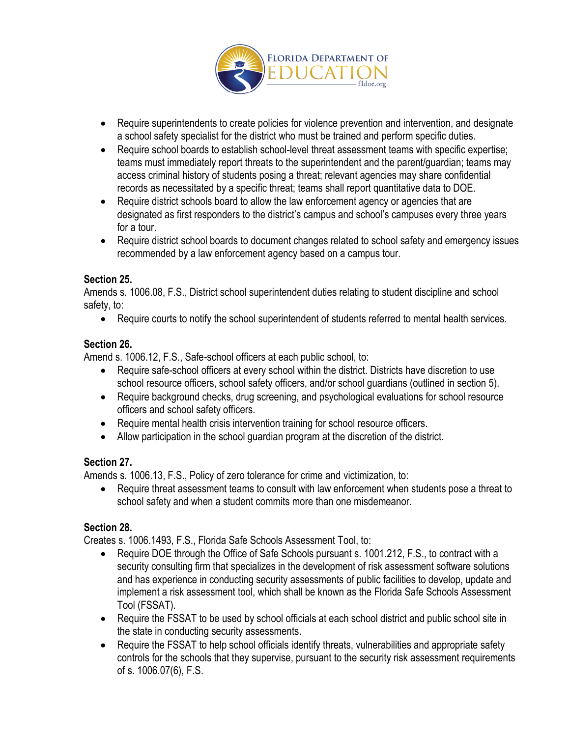

- Require superintendents to create policies for violence prevention and intervention, and designate a school safety specialist for the district who must be trained and perform specific duties.
- Require school boards to establish school-level threat assessment teams with specific expertise; teams must immediately report threats to the superintendent and the parent/guardian; teams may access criminal history of students posing a threat; relevant agencies may share confidential records as necessitated by a specific threat; teams shall report quantitative data to DOE.
- Require district schools board to allow the law enforcement agency or agencies that are designated as first responders to the district's campus and school's campuses every three years for a tour.
- Require district school boards to document changes related to school safety and emergency issues recommended by a law enforcement agency based on a campus tour.

### **Section 25.**

Amends s. 1006.08, F.S., District school superintendent duties relating to student discipline and school safety, to:

• Require courts to notify the school superintendent of students referred to mental health services.

## **Section 26.**

Amend s. 1006.12, F.S., Safe-school officers at each public school, to:

- Require safe-school officers at every school within the district. Districts have discretion to use school resource officers, school safety officers, and/or school guardians (outlined in section 5).
- Require background checks, drug screening, and psychological evaluations for school resource officers and school safety officers.
- Require mental health crisis intervention training for school resource officers.
- Allow participation in the school guardian program at the discretion of the district.

## **Section 27.**

Amends s. 1006.13, F.S., Policy of zero tolerance for crime and victimization, to:

• Require threat assessment teams to consult with law enforcement when students pose a threat to school safety and when a student commits more than one misdemeanor.

## **Section 28.**

Creates s. 1006.1493, F.S., Florida Safe Schools Assessment Tool, to:

- Require DOE through the Office of Safe Schools pursuant s. 1001.212, F.S., to contract with a security consulting firm that specializes in the development of risk assessment software solutions and has experience in conducting security assessments of public facilities to develop, update and implement a risk assessment tool, which shall be known as the Florida Safe Schools Assessment Tool (FSSAT).
- Require the FSSAT to be used by school officials at each school district and public school site in the state in conducting security assessments.
- Require the FSSAT to help school officials identify threats, vulnerabilities and appropriate safety controls for the schools that they supervise, pursuant to the security risk assessment requirements of s. 1006.07(6), F.S.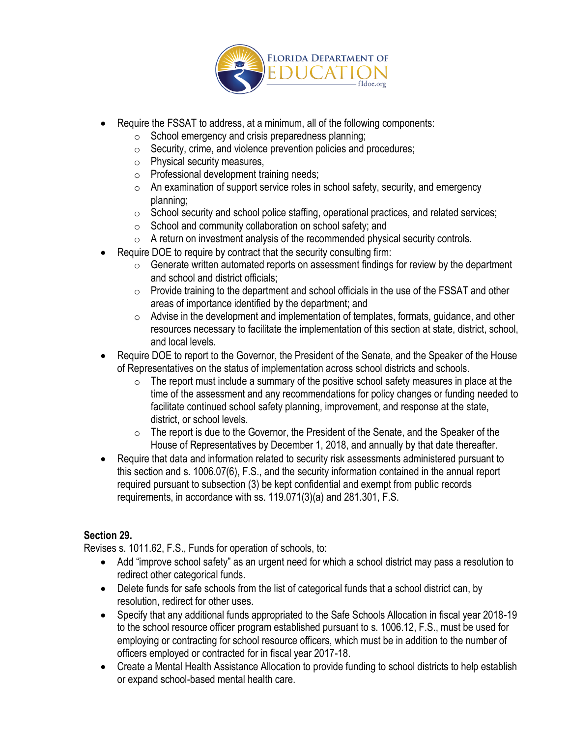

- Require the FSSAT to address, at a minimum, all of the following components:
	- o School emergency and crisis preparedness planning;
	- $\circ$  Security, crime, and violence prevention policies and procedures;
	- o Physical security measures,
	- o Professional development training needs;
	- $\circ$  An examination of support service roles in school safety, security, and emergency planning;
	- $\circ$  School security and school police staffing, operational practices, and related services;
	- o School and community collaboration on school safety; and
	- $\circ$  A return on investment analysis of the recommended physical security controls.
- Require DOE to require by contract that the security consulting firm:
	- $\circ$  Generate written automated reports on assessment findings for review by the department and school and district officials;
	- $\circ$  Provide training to the department and school officials in the use of the FSSAT and other areas of importance identified by the department; and
	- $\circ$  Advise in the development and implementation of templates, formats, quidance, and other resources necessary to facilitate the implementation of this section at state, district, school, and local levels.
- Require DOE to report to the Governor, the President of the Senate, and the Speaker of the House of Representatives on the status of implementation across school districts and schools.
	- $\circ$  The report must include a summary of the positive school safety measures in place at the time of the assessment and any recommendations for policy changes or funding needed to facilitate continued school safety planning, improvement, and response at the state, district, or school levels.
	- $\circ$  The report is due to the Governor, the President of the Senate, and the Speaker of the House of Representatives by December 1, 2018, and annually by that date thereafter.
- Require that data and information related to security risk assessments administered pursuant to this section and s. 1006.07(6), F.S., and the security information contained in the annual report required pursuant to subsection (3) be kept confidential and exempt from public records requirements, in accordance with ss. 119.071(3)(a) and 281.301, F.S.

### **Section 29.**

Revises s. 1011.62, F.S., Funds for operation of schools, to:

- Add "improve school safety" as an urgent need for which a school district may pass a resolution to redirect other categorical funds.
- Delete funds for safe schools from the list of categorical funds that a school district can, by resolution, redirect for other uses.
- Specify that any additional funds appropriated to the Safe Schools Allocation in fiscal year 2018-19 to the school resource officer program established pursuant to s. 1006.12, F.S., must be used for employing or contracting for school resource officers, which must be in addition to the number of officers employed or contracted for in fiscal year 2017-18.
- Create a Mental Health Assistance Allocation to provide funding to school districts to help establish or expand school-based mental health care.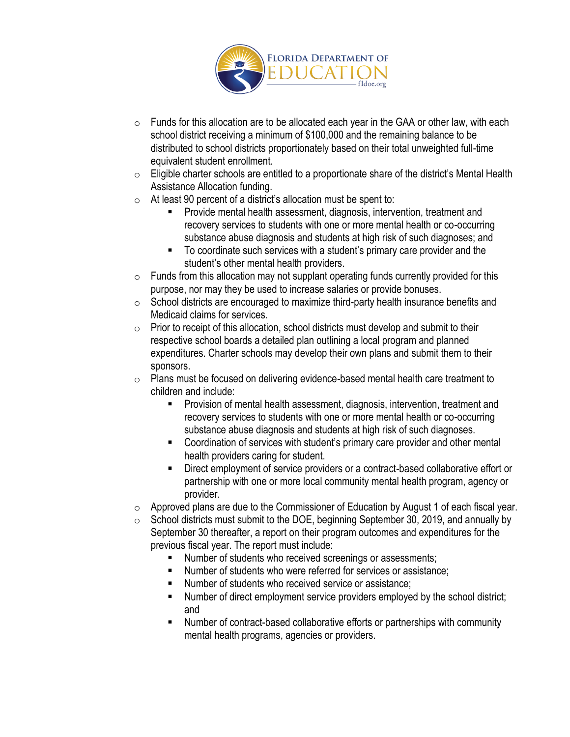

- $\circ$  Funds for this allocation are to be allocated each year in the GAA or other law, with each school district receiving a minimum of \$100,000 and the remaining balance to be distributed to school districts proportionately based on their total unweighted full-time equivalent student enrollment.
- $\circ$  Eligible charter schools are entitled to a proportionate share of the district's Mental Health Assistance Allocation funding.
- $\circ$  At least 90 percent of a district's allocation must be spent to:
	- Provide mental health assessment, diagnosis, intervention, treatment and recovery services to students with one or more mental health or co-occurring substance abuse diagnosis and students at high risk of such diagnoses; and
	- To coordinate such services with a student's primary care provider and the student's other mental health providers.
- $\circ$  Funds from this allocation may not supplant operating funds currently provided for this purpose, nor may they be used to increase salaries or provide bonuses.
- o School districts are encouraged to maximize third-party health insurance benefits and Medicaid claims for services.
- $\circ$  Prior to receipt of this allocation, school districts must develop and submit to their respective school boards a detailed plan outlining a local program and planned expenditures. Charter schools may develop their own plans and submit them to their sponsors.
- o Plans must be focused on delivering evidence-based mental health care treatment to children and include:
	- **Provision of mental health assessment, diagnosis, intervention, treatment and** recovery services to students with one or more mental health or co-occurring substance abuse diagnosis and students at high risk of such diagnoses.
	- Coordination of services with student's primary care provider and other mental health providers caring for student.
	- **EXECT** Direct employment of service providers or a contract-based collaborative effort or partnership with one or more local community mental health program, agency or provider.
- $\circ$  Approved plans are due to the Commissioner of Education by August 1 of each fiscal year.
- $\circ$  School districts must submit to the DOE, beginning September 30, 2019, and annually by September 30 thereafter, a report on their program outcomes and expenditures for the previous fiscal year. The report must include:
	- Number of students who received screenings or assessments;
	- Number of students who were referred for services or assistance;
	- Number of students who received service or assistance;
	- Number of direct employment service providers employed by the school district; and
	- Number of contract-based collaborative efforts or partnerships with community mental health programs, agencies or providers.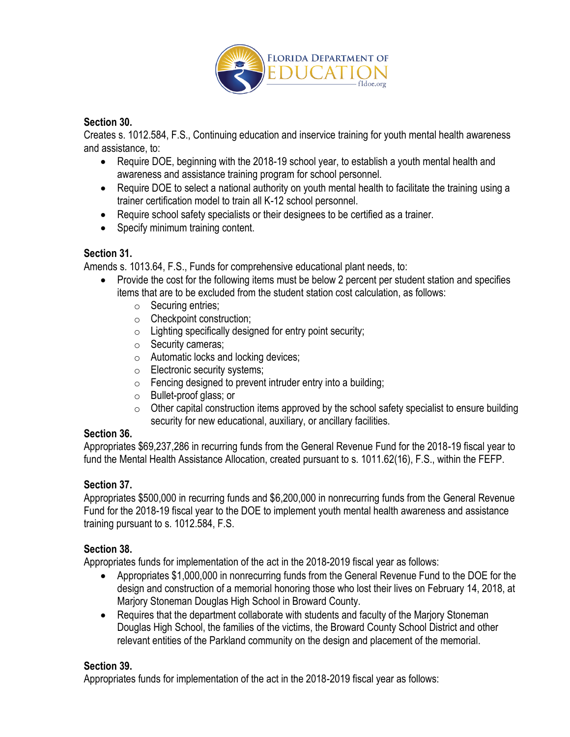

### **Section 30.**

Creates s. 1012.584, F.S., Continuing education and inservice training for youth mental health awareness and assistance, to:

- Require DOE, beginning with the 2018-19 school year, to establish a youth mental health and awareness and assistance training program for school personnel.
- Require DOE to select a national authority on youth mental health to facilitate the training using a trainer certification model to train all K-12 school personnel.
- Require school safety specialists or their designees to be certified as a trainer.
- Specify minimum training content.

## **Section 31.**

Amends s. 1013.64, F.S., Funds for comprehensive educational plant needs, to:

- Provide the cost for the following items must be below 2 percent per student station and specifies items that are to be excluded from the student station cost calculation, as follows:
	- o Securing entries;
	- o Checkpoint construction;
	- $\circ$  Lighting specifically designed for entry point security;
	- o Security cameras;
	- o Automatic locks and locking devices;
	- o Electronic security systems;
	- $\circ$  Fencing designed to prevent intruder entry into a building;
	- o Bullet-proof glass; or
	- $\circ$  Other capital construction items approved by the school safety specialist to ensure building security for new educational, auxiliary, or ancillary facilities.

## **Section 36.**

Appropriates \$69,237,286 in recurring funds from the General Revenue Fund for the 2018-19 fiscal year to fund the Mental Health Assistance Allocation, created pursuant to s. 1011.62(16), F.S., within the FEFP.

## **Section 37.**

Appropriates \$500,000 in recurring funds and \$6,200,000 in nonrecurring funds from the General Revenue Fund for the 2018-19 fiscal year to the DOE to implement youth mental health awareness and assistance training pursuant to s. 1012.584, F.S.

## **Section 38.**

Appropriates funds for implementation of the act in the 2018-2019 fiscal year as follows:

- Appropriates \$1,000,000 in nonrecurring funds from the General Revenue Fund to the DOE for the design and construction of a memorial honoring those who lost their lives on February 14, 2018, at Marjory Stoneman Douglas High School in Broward County.
- Requires that the department collaborate with students and faculty of the Marjory Stoneman Douglas High School, the families of the victims, the Broward County School District and other relevant entities of the Parkland community on the design and placement of the memorial.

## **Section 39.**

Appropriates funds for implementation of the act in the 2018-2019 fiscal year as follows: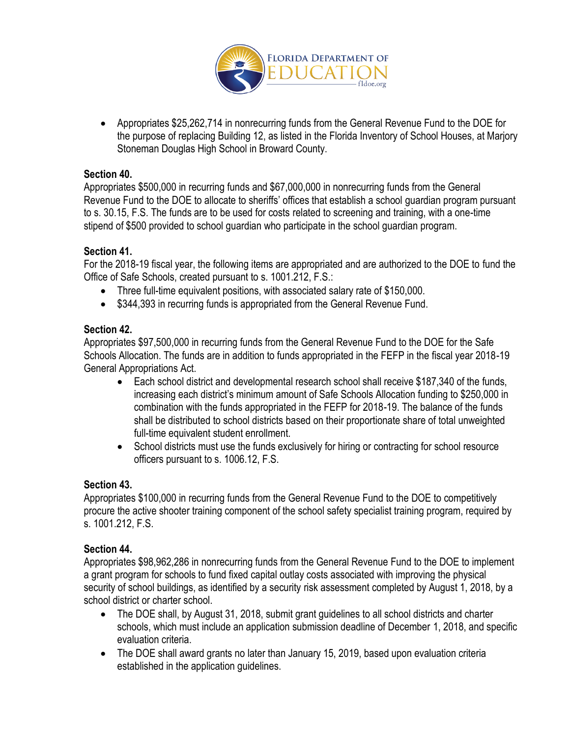

 Appropriates \$25,262,714 in nonrecurring funds from the General Revenue Fund to the DOE for the purpose of replacing Building 12, as listed in the Florida Inventory of School Houses, at Marjory Stoneman Douglas High School in Broward County.

### **Section 40.**

Appropriates \$500,000 in recurring funds and \$67,000,000 in nonrecurring funds from the General Revenue Fund to the DOE to allocate to sheriffs' offices that establish a school guardian program pursuant to s. 30.15, F.S. The funds are to be used for costs related to screening and training, with a one-time stipend of \$500 provided to school guardian who participate in the school guardian program.

### **Section 41.**

For the 2018-19 fiscal year, the following items are appropriated and are authorized to the DOE to fund the Office of Safe Schools, created pursuant to s. 1001.212, F.S.:

- Three full-time equivalent positions, with associated salary rate of \$150,000.
- \$344,393 in recurring funds is appropriated from the General Revenue Fund.

### **Section 42.**

Appropriates \$97,500,000 in recurring funds from the General Revenue Fund to the DOE for the Safe Schools Allocation. The funds are in addition to funds appropriated in the FEFP in the fiscal year 2018-19 General Appropriations Act.

- Each school district and developmental research school shall receive \$187,340 of the funds, increasing each district's minimum amount of Safe Schools Allocation funding to \$250,000 in combination with the funds appropriated in the FEFP for 2018-19. The balance of the funds shall be distributed to school districts based on their proportionate share of total unweighted full-time equivalent student enrollment.
- School districts must use the funds exclusively for hiring or contracting for school resource officers pursuant to s. 1006.12, F.S.

### **Section 43.**

Appropriates \$100,000 in recurring funds from the General Revenue Fund to the DOE to competitively procure the active shooter training component of the school safety specialist training program, required by s. 1001.212, F.S.

### **Section 44.**

Appropriates \$98,962,286 in nonrecurring funds from the General Revenue Fund to the DOE to implement a grant program for schools to fund fixed capital outlay costs associated with improving the physical security of school buildings, as identified by a security risk assessment completed by August 1, 2018, by a school district or charter school.

- The DOE shall, by August 31, 2018, submit grant guidelines to all school districts and charter schools, which must include an application submission deadline of December 1, 2018, and specific evaluation criteria.
- The DOE shall award grants no later than January 15, 2019, based upon evaluation criteria established in the application guidelines.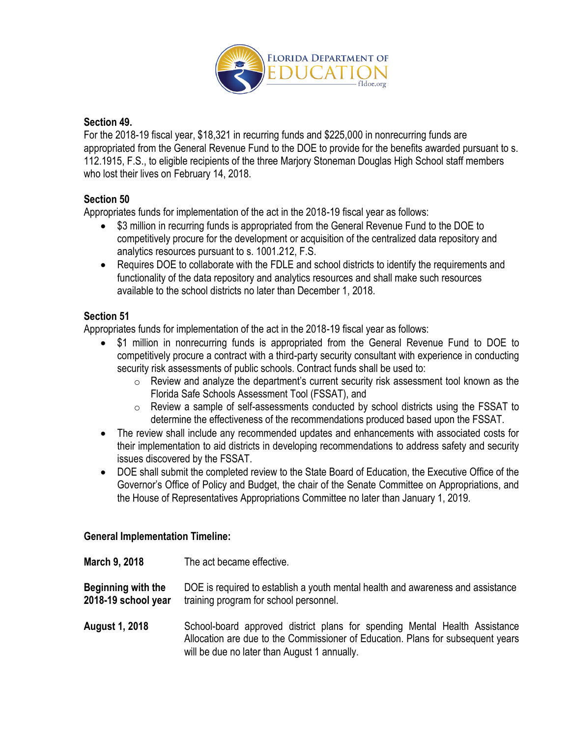

### **Section 49.**

For the 2018-19 fiscal year, \$18,321 in recurring funds and \$225,000 in nonrecurring funds are appropriated from the General Revenue Fund to the DOE to provide for the benefits awarded pursuant to s. 112.1915, F.S., to eligible recipients of the three Marjory Stoneman Douglas High School staff members who lost their lives on February 14, 2018.

### **Section 50**

Appropriates funds for implementation of the act in the 2018-19 fiscal year as follows:

- \$3 million in recurring funds is appropriated from the General Revenue Fund to the DOE to competitively procure for the development or acquisition of the centralized data repository and analytics resources pursuant to s. 1001.212, F.S.
- Requires DOE to collaborate with the FDLE and school districts to identify the requirements and functionality of the data repository and analytics resources and shall make such resources available to the school districts no later than December 1, 2018.

### **Section 51**

Appropriates funds for implementation of the act in the 2018-19 fiscal year as follows:

- \$1 million in nonrecurring funds is appropriated from the General Revenue Fund to DOE to competitively procure a contract with a third-party security consultant with experience in conducting security risk assessments of public schools. Contract funds shall be used to:
	- $\circ$  Review and analyze the department's current security risk assessment tool known as the Florida Safe Schools Assessment Tool (FSSAT), and
	- o Review a sample of self-assessments conducted by school districts using the FSSAT to determine the effectiveness of the recommendations produced based upon the FSSAT.
- The review shall include any recommended updates and enhancements with associated costs for their implementation to aid districts in developing recommendations to address safety and security issues discovered by the FSSAT.
- DOE shall submit the completed review to the State Board of Education, the Executive Office of the Governor's Office of Policy and Budget, the chair of the Senate Committee on Appropriations, and the House of Representatives Appropriations Committee no later than January 1, 2019.

### **General Implementation Timeline:**

**March 9, 2018** The act became effective.

**Beginning with the** DOE is required to establish a youth mental health and awareness and assistance **2018-19 school year** training program for school personnel.

**August 1, 2018** School-board approved district plans for spending Mental Health Assistance Allocation are due to the Commissioner of Education. Plans for subsequent years will be due no later than August 1 annually.